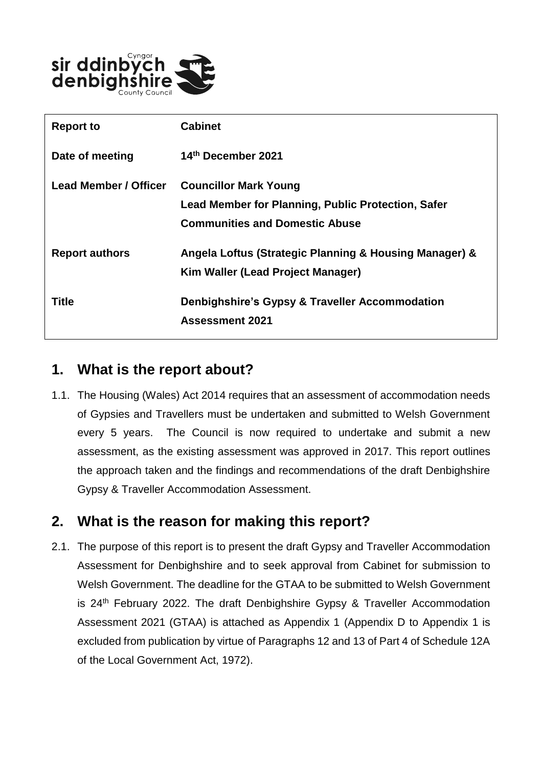

| <b>Report to</b>      | <b>Cabinet</b>                                         |
|-----------------------|--------------------------------------------------------|
| Date of meeting       | 14th December 2021                                     |
| Lead Member / Officer | <b>Councillor Mark Young</b>                           |
|                       | Lead Member for Planning, Public Protection, Safer     |
|                       | <b>Communities and Domestic Abuse</b>                  |
| <b>Report authors</b> | Angela Loftus (Strategic Planning & Housing Manager) & |
|                       | Kim Waller (Lead Project Manager)                      |
| Title                 | Denbighshire's Gypsy & Traveller Accommodation         |
|                       | Assessment 2021                                        |

# **1. What is the report about?**

1.1. The Housing (Wales) Act 2014 requires that an assessment of accommodation needs of Gypsies and Travellers must be undertaken and submitted to Welsh Government every 5 years. The Council is now required to undertake and submit a new assessment, as the existing assessment was approved in 2017. This report outlines the approach taken and the findings and recommendations of the draft Denbighshire Gypsy & Traveller Accommodation Assessment.

# **2. What is the reason for making this report?**

2.1. The purpose of this report is to present the draft Gypsy and Traveller Accommodation Assessment for Denbighshire and to seek approval from Cabinet for submission to Welsh Government. The deadline for the GTAA to be submitted to Welsh Government is 24<sup>th</sup> February 2022. The draft Denbighshire Gypsy & Traveller Accommodation Assessment 2021 (GTAA) is attached as Appendix 1 (Appendix D to Appendix 1 is excluded from publication by virtue of Paragraphs 12 and 13 of Part 4 of Schedule 12A of the Local Government Act, 1972).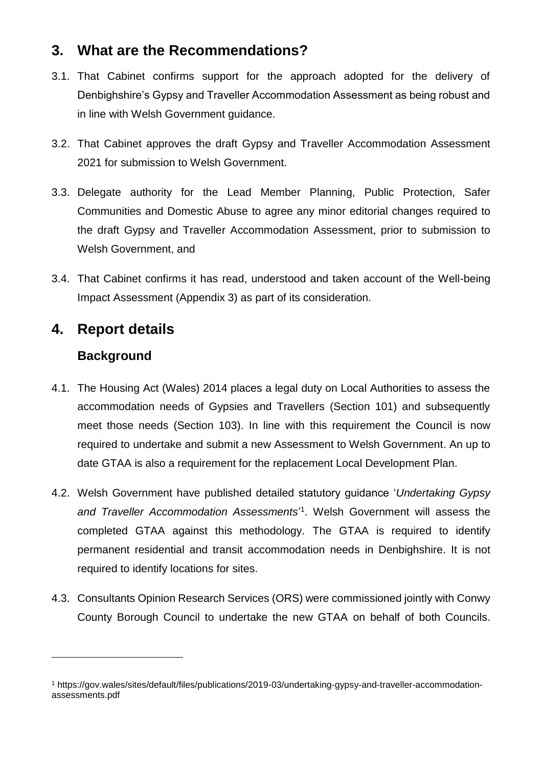# **3. What are the Recommendations?**

- 3.1. That Cabinet confirms support for the approach adopted for the delivery of Denbighshire's Gypsy and Traveller Accommodation Assessment as being robust and in line with Welsh Government guidance.
- 3.2. That Cabinet approves the draft Gypsy and Traveller Accommodation Assessment 2021 for submission to Welsh Government.
- 3.3. Delegate authority for the Lead Member Planning, Public Protection, Safer Communities and Domestic Abuse to agree any minor editorial changes required to the draft Gypsy and Traveller Accommodation Assessment, prior to submission to Welsh Government, and
- 3.4. That Cabinet confirms it has read, understood and taken account of the Well-being Impact Assessment (Appendix 3) as part of its consideration.

#### **4. Report details**

#### **Background**

 $\overline{a}$ 

- 4.1. The Housing Act (Wales) 2014 places a legal duty on Local Authorities to assess the accommodation needs of Gypsies and Travellers (Section 101) and subsequently meet those needs (Section 103). In line with this requirement the Council is now required to undertake and submit a new Assessment to Welsh Government. An up to date GTAA is also a requirement for the replacement Local Development Plan.
- 4.2. Welsh Government have published detailed statutory guidance '*Undertaking Gypsy*  and Traveller Accommodation Assessments<sup>'1</sup>. Welsh Government will assess the completed GTAA against this methodology. The GTAA is required to identify permanent residential and transit accommodation needs in Denbighshire. It is not required to identify locations for sites.
- 4.3. Consultants Opinion Research Services (ORS) were commissioned jointly with Conwy County Borough Council to undertake the new GTAA on behalf of both Councils.

<sup>1</sup> https://gov.wales/sites/default/files/publications/2019-03/undertaking-gypsy-and-traveller-accommodationassessments.pdf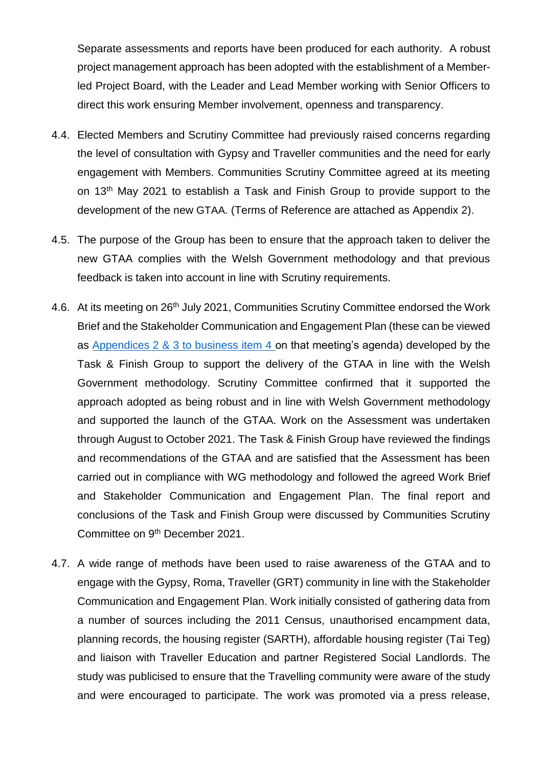Separate assessments and reports have been produced for each authority. A robust project management approach has been adopted with the establishment of a Memberled Project Board, with the Leader and Lead Member working with Senior Officers to direct this work ensuring Member involvement, openness and transparency.

- 4.4. Elected Members and Scrutiny Committee had previously raised concerns regarding the level of consultation with Gypsy and Traveller communities and the need for early engagement with Members. Communities Scrutiny Committee agreed at its meeting on 13<sup>th</sup> May 2021 to establish a Task and Finish Group to provide support to the development of the new GTAA. (Terms of Reference are attached as Appendix 2).
- 4.5. The purpose of the Group has been to ensure that the approach taken to deliver the new GTAA complies with the Welsh Government methodology and that previous feedback is taken into account in line with Scrutiny requirements.
- 4.6. At its meeting on 26<sup>th</sup> July 2021, Communities Scrutiny Committee endorsed the Work Brief and the Stakeholder Communication and Engagement Plan (these can be viewed as [Appendices 2 & 3 to business item 4 o](https://moderngov.denbighshire.gov.uk/ieListDocuments.aspx?CId=271&MId=6424&LLL=0)n that meeting's agenda) developed by the Task & Finish Group to support the delivery of the GTAA in line with the Welsh Government methodology. Scrutiny Committee confirmed that it supported the approach adopted as being robust and in line with Welsh Government methodology and supported the launch of the GTAA. Work on the Assessment was undertaken through August to October 2021. The Task & Finish Group have reviewed the findings and recommendations of the GTAA and are satisfied that the Assessment has been carried out in compliance with WG methodology and followed the agreed Work Brief and Stakeholder Communication and Engagement Plan. The final report and conclusions of the Task and Finish Group were discussed by Communities Scrutiny Committee on 9th December 2021.
- 4.7. A wide range of methods have been used to raise awareness of the GTAA and to engage with the Gypsy, Roma, Traveller (GRT) community in line with the Stakeholder Communication and Engagement Plan. Work initially consisted of gathering data from a number of sources including the 2011 Census, unauthorised encampment data, planning records, the housing register (SARTH), affordable housing register (Tai Teg) and liaison with Traveller Education and partner Registered Social Landlords. The study was publicised to ensure that the Travelling community were aware of the study and were encouraged to participate. The work was promoted via a press release,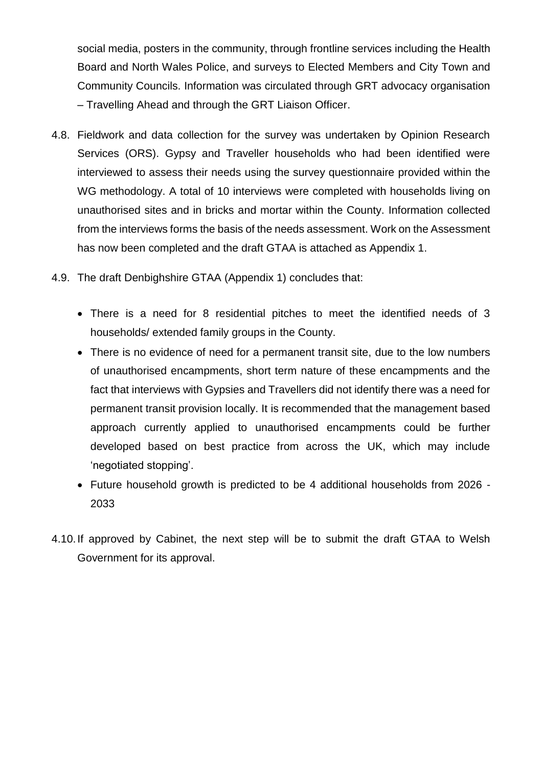social media, posters in the community, through frontline services including the Health Board and North Wales Police, and surveys to Elected Members and City Town and Community Councils. Information was circulated through GRT advocacy organisation – Travelling Ahead and through the GRT Liaison Officer.

- 4.8. Fieldwork and data collection for the survey was undertaken by Opinion Research Services (ORS). Gypsy and Traveller households who had been identified were interviewed to assess their needs using the survey questionnaire provided within the WG methodology. A total of 10 interviews were completed with households living on unauthorised sites and in bricks and mortar within the County. Information collected from the interviews forms the basis of the needs assessment. Work on the Assessment has now been completed and the draft GTAA is attached as Appendix 1.
- 4.9. The draft Denbighshire GTAA (Appendix 1) concludes that:
	- There is a need for 8 residential pitches to meet the identified needs of 3 households/ extended family groups in the County.
	- There is no evidence of need for a permanent transit site, due to the low numbers of unauthorised encampments, short term nature of these encampments and the fact that interviews with Gypsies and Travellers did not identify there was a need for permanent transit provision locally. It is recommended that the management based approach currently applied to unauthorised encampments could be further developed based on best practice from across the UK, which may include 'negotiated stopping'.
	- Future household growth is predicted to be 4 additional households from 2026 2033
- 4.10.If approved by Cabinet, the next step will be to submit the draft GTAA to Welsh Government for its approval.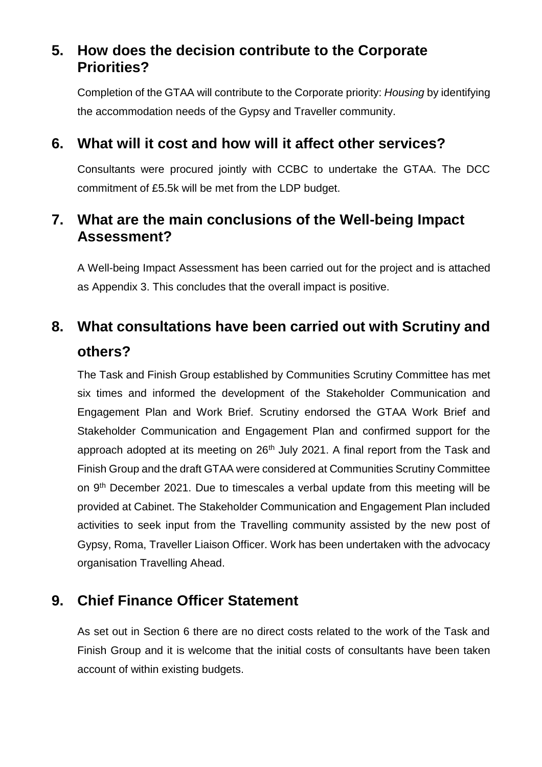# **5. How does the decision contribute to the Corporate Priorities?**

Completion of the GTAA will contribute to the Corporate priority: *Housing* by identifying the accommodation needs of the Gypsy and Traveller community.

#### **6. What will it cost and how will it affect other services?**

Consultants were procured jointly with CCBC to undertake the GTAA. The DCC commitment of £5.5k will be met from the LDP budget.

### **7. What are the main conclusions of the Well-being Impact Assessment?**

A Well-being Impact Assessment has been carried out for the project and is attached as Appendix 3. This concludes that the overall impact is positive.

# **8. What consultations have been carried out with Scrutiny and others?**

The Task and Finish Group established by Communities Scrutiny Committee has met six times and informed the development of the Stakeholder Communication and Engagement Plan and Work Brief. Scrutiny endorsed the GTAA Work Brief and Stakeholder Communication and Engagement Plan and confirmed support for the approach adopted at its meeting on  $26<sup>th</sup>$  July 2021. A final report from the Task and Finish Group and the draft GTAA were considered at Communities Scrutiny Committee on 9<sup>th</sup> December 2021. Due to timescales a verbal update from this meeting will be provided at Cabinet. The Stakeholder Communication and Engagement Plan included activities to seek input from the Travelling community assisted by the new post of Gypsy, Roma, Traveller Liaison Officer. Work has been undertaken with the advocacy organisation Travelling Ahead.

# **9. Chief Finance Officer Statement**

As set out in Section 6 there are no direct costs related to the work of the Task and Finish Group and it is welcome that the initial costs of consultants have been taken account of within existing budgets.